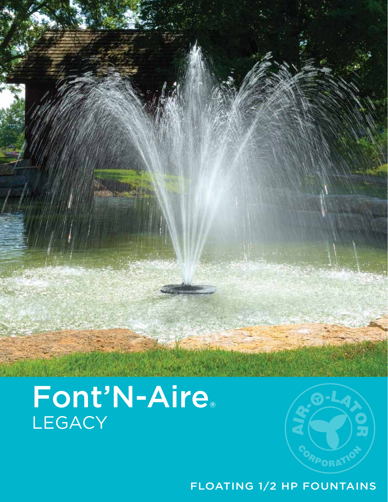# Font'N-Aire® **LEGACY**



FLOATING 1/2 HP FOUNTAINS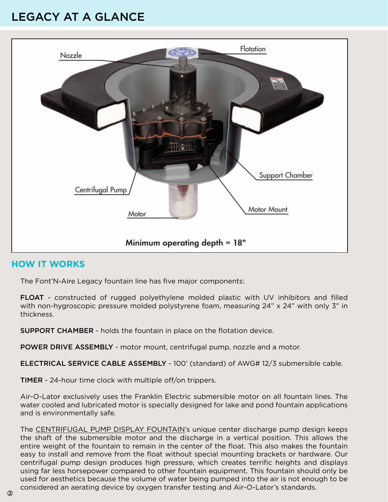### LEGACY AT A GLANCE



#### **HOW IT WORKS**

The Font'N-Aire Legacy fountain line has five major components:

FLOAT - constructed of rugged polyethylene molded plastic with UV inhibitors and filled with non-hygroscopic pressure molded polystyrene foam, measuring 24" x 24" with only 3" in thickness.

SUPPORT CHAMBER - holds the fountain in place on the flotation device.

POWER DRIVE ASSEMBLY - motor mount, centrifugal pump, nozzle and a motor.

ELECTRICAL SERVICE CABLE ASSEMBLY - 100' (standard) of AWG# 12/3 submersible cable.

TIMER - 24-hour time clock with multiple off/on trippers.

Air-O-Lator exclusively uses the Franklin Electric submersible motor on all fountain lines. The water cooled and lubricated motor is specially designed for lake and pond fountain applications and is environmentally safe.

The CENTRIFUGAL PUMP DISPLAY FOUNTAIN's unique center discharge pump design keeps the shaft of the submersible motor and the discharge in a vertical position. This allows the entire weight of the fountain to remain in the center of the float. This also makes the fountain easy to install and remove from the float without special mounting brackets or hardware. Our centrifugal pump design produces high pressure, which creates terrific heights and displays using far less horsepower compared to other fountain equipment. This fountain should only be used for aesthetics because the volume of water being pumped into the air is not enough to be considered an aerating device by oxygen transfer testing and Air-O-Lator's standards.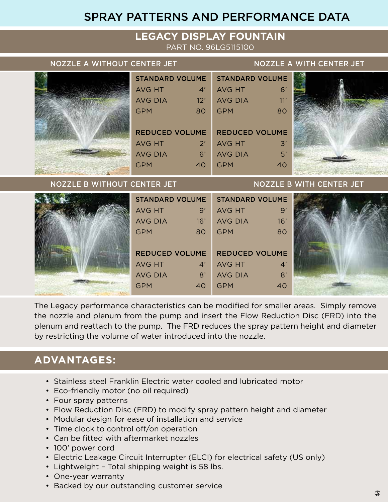#### SPRAY PATTERNS AND PERFORMANCE DATA

#### **LEGACY DISPLAY FOUNTAIN**

PART NO. 96LG5115100

#### NOZZLE A WITHOUT CENTER JET NOZZLE A WITH CENTER JET

|                             | <b>STANDARD VOLUME</b> |                                 | <b>STANDARD VOLUME</b> |                |  |
|-----------------------------|------------------------|---------------------------------|------------------------|----------------|--|
|                             | <b>AVG HT</b>          | $\mathcal{A}'$                  | AVG HT                 | 6'             |  |
|                             | <b>AVG DIA</b>         | 12'                             | <b>AVG DIA</b>         | $\sqrt{11'}$   |  |
|                             | <b>GPM</b>             | 80                              | <b>GPM</b>             | 80             |  |
|                             |                        |                                 |                        |                |  |
|                             | <b>REDUCED VOLUME</b>  |                                 | <b>REDUCED VOLUME</b>  |                |  |
|                             | AVG HT                 | $2^{\prime}$                    | <b>AVG HT</b>          | $\mathcal{Z}'$ |  |
|                             | <b>AVG DIA</b>         | 6'                              | <b>AVG DIA</b>         | 5'             |  |
|                             | <b>GPM</b>             | 40                              | <b>GPM</b>             | 40             |  |
| NOZZLE B WITHOUT CENTER JET |                        | <b>NOZZLE B WITH CENTER JET</b> |                        |                |  |

| <b>STANDARD VOLUME</b> |     | <b>STANDARD VOLUME</b> |                |  |
|------------------------|-----|------------------------|----------------|--|
| AVG HT                 | 9'  | AVG HT                 | $\mathbf{Q}$   |  |
| <b>AVG DIA</b>         | 16' | <b>AVG DIA</b>         | 16'            |  |
| <b>GPM</b>             | 80  | <b>GPM</b>             | 80             |  |
|                        |     |                        |                |  |
| <b>REDUCED VOLUME</b>  |     | <b>REDUCED VOLUME</b>  |                |  |
| AVG HT                 | 4'  | AVG HT                 | $\mathcal{A}'$ |  |
| <b>AVG DIA</b>         | 8'  | <b>AVG DIA</b>         | 8'             |  |
| <b>GPM</b>             | 40  | <b>GPM</b>             | 40             |  |
|                        |     |                        |                |  |

The Legacy performance characteristics can be modified for smaller areas. Simply remove the nozzle and plenum from the pump and insert the Flow Reduction Disc (FRD) into the plenum and reattach to the pump. The FRD reduces the spray pattern height and diameter by restricting the volume of water introduced into the nozzle.

#### **ADVANTAGES:**

- Stainless steel Franklin Electric water cooled and lubricated motor
- Eco-friendly motor (no oil required)
- Four spray patterns
- Flow Reduction Disc (FRD) to modify spray pattern height and diameter
- Modular design for ease of installation and service
- Time clock to control off/on operation
- Can be fitted with aftermarket nozzles
- 100' power cord
- Electric Leakage Circuit Interrupter (ELCI) for electrical safety (US only)
- Lightweight Total shipping weight is 58 lbs.
- One-year warranty
- Backed by our outstanding customer service